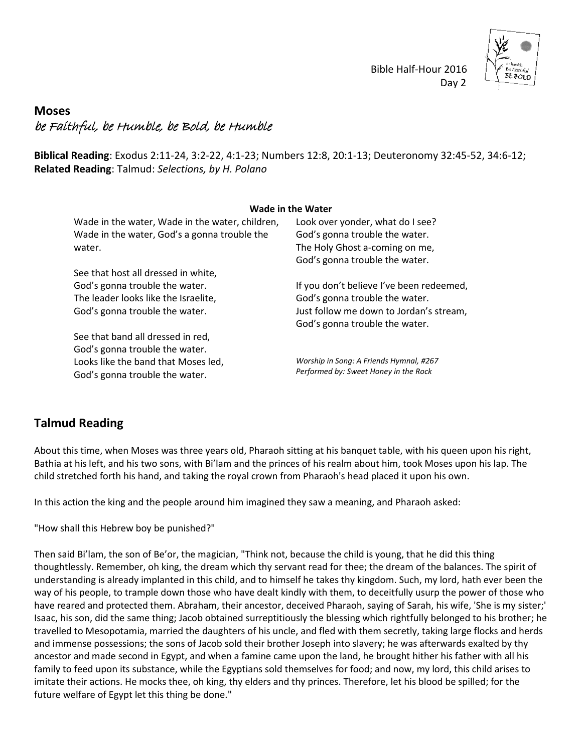

## Bible Half-Hour 2016 Day 2

## **Moses** be Faithful, be Humble, be Bold, be Humble

**Biblical Reading**: Exodus 2:11-24, 3:2-22, 4:1-23; Numbers 12:8, 20:1-13; Deuteronomy 32:45-52, 34:6-12; **Related Reading**: Talmud: *Selections, by H. Polano*

| <b>Wade in the Water</b>                                                                        |                                                                    |
|-------------------------------------------------------------------------------------------------|--------------------------------------------------------------------|
| Wade in the water, Wade in the water, children,<br>Wade in the water, God's a gonna trouble the | Look over yonder, what do I see?<br>God's gonna trouble the water. |
| water.                                                                                          | The Holy Ghost a-coming on me,                                     |
|                                                                                                 | God's gonna trouble the water.                                     |
| See that host all dressed in white,                                                             |                                                                    |
| God's gonna trouble the water.                                                                  | If you don't believe I've been redeemed,                           |
| The leader looks like the Israelite,                                                            | God's gonna trouble the water.                                     |
| God's gonna trouble the water.                                                                  | Just follow me down to Jordan's stream,                            |
|                                                                                                 | God's gonna trouble the water.                                     |
| See that band all dressed in red,                                                               |                                                                    |
| God's gonna trouble the water.                                                                  |                                                                    |
| Looks like the band that Moses led,                                                             | Worship in Song: A Friends Hymnal, #267                            |
| God's gonna trouble the water.                                                                  | Performed by: Sweet Honey in the Rock                              |

## **Talmud Reading**

About this time, when Moses was three years old, Pharaoh sitting at his banquet table, with his queen upon his right, Bathia at his left, and his two sons, with Bi'lam and the princes of his realm about him, took Moses upon his lap. The child stretched forth his hand, and taking the royal crown from Pharaoh's head placed it upon his own.

In this action the king and the people around him imagined they saw a meaning, and Pharaoh asked:

"How shall this Hebrew boy be punished?"

Then said Bi'lam, the son of Be'or, the magician, "Think not, because the child is young, that he did this thing thoughtlessly. Remember, oh king, the dream which thy servant read for thee; the dream of the balances. The spirit of understanding is already implanted in this child, and to himself he takes thy kingdom. Such, my lord, hath ever been the way of his people, to trample down those who have dealt kindly with them, to deceitfully usurp the power of those who have reared and protected them. Abraham, their ancestor, deceived Pharaoh, saying of Sarah, his wife, 'She is my sister;' Isaac, his son, did the same thing; Jacob obtained surreptitiously the blessing which rightfully belonged to his brother; he travelled to Mesopotamia, married the daughters of his uncle, and fled with them secretly, taking large flocks and herds and immense possessions; the sons of Jacob sold their brother Joseph into slavery; he was afterwards exalted by thy ancestor and made second in Egypt, and when a famine came upon the land, he brought hither his father with all his family to feed upon its substance, while the Egyptians sold themselves for food; and now, my lord, this child arises to imitate their actions. He mocks thee, oh king, thy elders and thy princes. Therefore, let his blood be spilled; for the future welfare of Egypt let this thing be done."